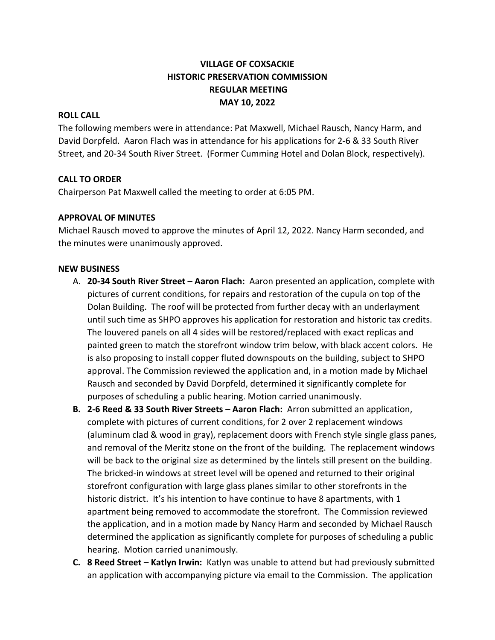# **VILLAGE OF COXSACKIE HISTORIC PRESERVATION COMMISSION REGULAR MEETING MAY 10, 2022**

#### **ROLL CALL**

The following members were in attendance: Pat Maxwell, Michael Rausch, Nancy Harm, and David Dorpfeld. Aaron Flach was in attendance for his applications for 2-6 & 33 South River Street, and 20-34 South River Street. (Former Cumming Hotel and Dolan Block, respectively).

#### **CALL TO ORDER**

Chairperson Pat Maxwell called the meeting to order at 6:05 PM.

### **APPROVAL OF MINUTES**

Michael Rausch moved to approve the minutes of April 12, 2022. Nancy Harm seconded, and the minutes were unanimously approved.

#### **NEW BUSINESS**

- A. **20-34 South River Street – Aaron Flach:** Aaron presented an application, complete with pictures of current conditions, for repairs and restoration of the cupula on top of the Dolan Building. The roof will be protected from further decay with an underlayment until such time as SHPO approves his application for restoration and historic tax credits. The louvered panels on all 4 sides will be restored/replaced with exact replicas and painted green to match the storefront window trim below, with black accent colors. He is also proposing to install copper fluted downspouts on the building, subject to SHPO approval. The Commission reviewed the application and, in a motion made by Michael Rausch and seconded by David Dorpfeld, determined it significantly complete for purposes of scheduling a public hearing. Motion carried unanimously.
- **B. 2-6 Reed & 33 South River Streets – Aaron Flach:** Arron submitted an application, complete with pictures of current conditions, for 2 over 2 replacement windows (aluminum clad & wood in gray), replacement doors with French style single glass panes, and removal of the Meritz stone on the front of the building. The replacement windows will be back to the original size as determined by the lintels still present on the building. The bricked-in windows at street level will be opened and returned to their original storefront configuration with large glass planes similar to other storefronts in the historic district. It's his intention to have continue to have 8 apartments, with 1 apartment being removed to accommodate the storefront. The Commission reviewed the application, and in a motion made by Nancy Harm and seconded by Michael Rausch determined the application as significantly complete for purposes of scheduling a public hearing. Motion carried unanimously.
- **C. 8 Reed Street – Katlyn Irwin:** Katlyn was unable to attend but had previously submitted an application with accompanying picture via email to the Commission. The application